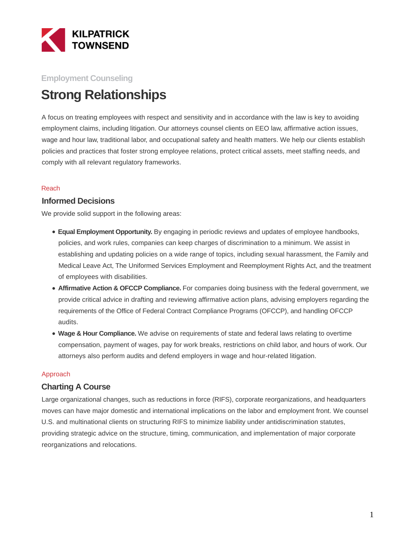

## **Employment Counseling**

# **Strong Relationships**

A focus on treating employees with respect and sensitivity and in accordance with the law is key to avoiding employment claims, including litigation. Our attorneys counsel clients on EEO law, affirmative action issues, wage and hour law, traditional labor, and occupational safety and health matters. We help our clients establish policies and practices that foster strong employee relations, protect critical assets, meet staffing needs, and comply with all relevant regulatory frameworks.

#### Reach

### **Informed Decisions**

We provide solid support in the following areas:

- **Equal Employment Opportunity.** By engaging in periodic reviews and updates of employee handbooks, policies, and work rules, companies can keep charges of discrimination to a minimum. We assist in establishing and updating policies on a wide range of topics, including sexual harassment, the Family and Medical Leave Act, The Uniformed Services Employment and Reemployment Rights Act, and the treatment of employees with disabilities.
- **Affirmative Action & OFCCP Compliance.** For companies doing business with the federal government, we provide critical advice in drafting and reviewing affirmative action plans, advising employers regarding the requirements of the Office of Federal Contract Compliance Programs (OFCCP), and handling OFCCP audits.
- **Wage & Hour Compliance.** We advise on requirements of state and federal laws relating to overtime compensation, payment of wages, pay for work breaks, restrictions on child labor, and hours of work. Our attorneys also perform audits and defend employers in wage and hour-related litigation.

#### Approach

### **Charting A Course**

Large organizational changes, such as reductions in force (RIFS), corporate reorganizations, and headquarters moves can have major domestic and international implications on the labor and employment front. We counsel U.S. and multinational clients on structuring RIFS to minimize liability under antidiscrimination statutes, providing strategic advice on the structure, timing, communication, and implementation of major corporate reorganizations and relocations.